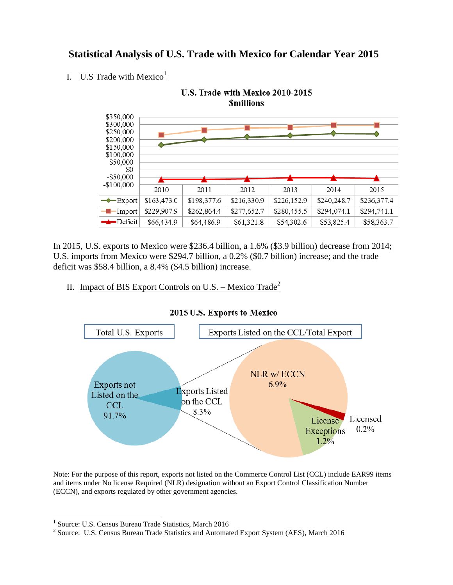# **Statistical Analysis of U.S. Trade with Mexico for Calendar Year 2015**

## I.  $U.S$  Trade with Mexico<sup>1</sup>



In 2015, U.S. exports to Mexico were \$236.4 billion, a 1.6% (\$3.9 billion) decrease from 2014; U.S. imports from Mexico were \$294.7 billion, a 0.2% (\$0.7 billion) increase; and the trade deficit was \$58.4 billion, a 8.4% (\$4.5 billion) increase.

### II. Impact of BIS Export Controls on U.S. – Mexico Trade<sup>2</sup>



#### 2015 U.S. Exports to Mexico

Note: For the purpose of this report, exports not listed on the Commerce Control List (CCL) include EAR99 items and items under No license Required (NLR) designation without an Export Control Classification Number (ECCN), and exports regulated by other government agencies.

 1 Source: U.S. Census Bureau Trade Statistics, March 2016

<sup>&</sup>lt;sup>2</sup> Source: U.S. Census Bureau Trade Statistics and Automated Export System (AES), March 2016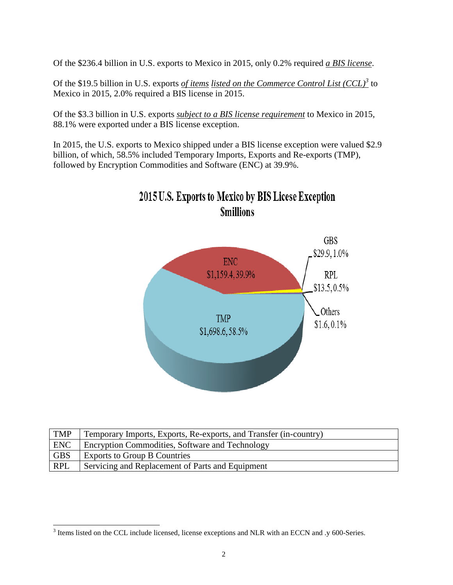Of the \$236.4 billion in U.S. exports to Mexico in 2015, only 0.2% required *a BIS license*.

Of the \$19.5 billion in U.S. exports *of items listed on the Commerce Control List (CCL)*<sup>3</sup> to Mexico in 2015, 2.0% required a BIS license in 2015.

Of the \$3.3 billion in U.S. exports *subject to a BIS license requirement* to Mexico in 2015, 88.1% were exported under a BIS license exception.

In 2015, the U.S. exports to Mexico shipped under a BIS license exception were valued \$2.9 billion, of which, 58.5% included Temporary Imports, Exports and Re-exports (TMP), followed by Encryption Commodities and Software (ENC) at 39.9%.



| <b>TMP</b>       | Temporary Imports, Exports, Re-exports, and Transfer (in-country) |
|------------------|-------------------------------------------------------------------|
| <b>ENC</b>       | <b>Encryption Commodities, Software and Technology</b>            |
| <b>GBS</b>       | <b>Exports to Group B Countries</b>                               |
| <sup>1</sup> RPL | Servicing and Replacement of Parts and Equipment                  |

<sup>&</sup>lt;sup>3</sup> Items listed on the CCL include licensed, license exceptions and NLR with an ECCN and .y 600-Series.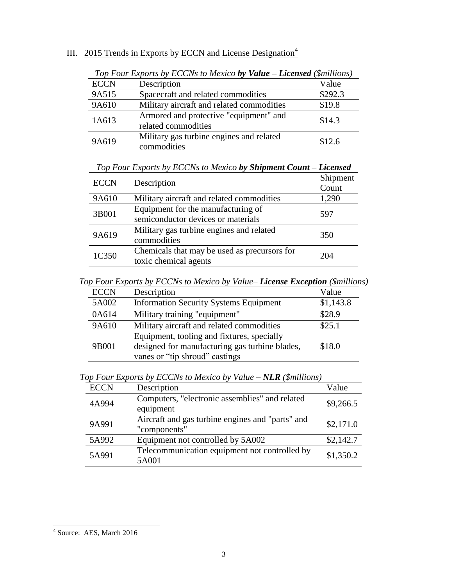| III. 2015 Trends in Exports by ECCN and License Designation <sup>4</sup> |
|--------------------------------------------------------------------------|
|--------------------------------------------------------------------------|

|             | $10\mu$ $10\mu$ $10\mu$ $10\mu$ $10\mu$ $10\mu$ $10\mu$ $10\mu$ $10\mu$ $10\mu$ $10\mu$ |         |
|-------------|-----------------------------------------------------------------------------------------|---------|
| <b>ECCN</b> | Description                                                                             | Value   |
| 9A515       | Spacecraft and related commodities                                                      | \$292.3 |
| 9A610       | Military aircraft and related commodities                                               | \$19.8  |
| 1A613       | Armored and protective "equipment" and<br>related commodities                           | \$14.3  |
| 9A619       | Military gas turbine engines and related<br>commodities                                 | \$12.6  |

*Top Four Exports by ECCNs to Mexico by Value – Licensed (\$millions)*

| Top Four Exports by ECCNs to Mexico by Shipment Count – Licensed |  |  |  |  |  |  |  |
|------------------------------------------------------------------|--|--|--|--|--|--|--|
|------------------------------------------------------------------|--|--|--|--|--|--|--|

| <b>ECCN</b> | Description                                                              | Shipment<br>Count |
|-------------|--------------------------------------------------------------------------|-------------------|
| 9A610       | Military aircraft and related commodities                                | 1,290             |
| 3B001       | Equipment for the manufacturing of<br>semiconductor devices or materials | 597               |
| 9A619       | Military gas turbine engines and related<br>commodities                  | 350               |
| 1C350       | Chemicals that may be used as precursors for<br>toxic chemical agents    | 204               |

*Top Four Exports by ECCNs to Mexico by Value– License Exception (\$millions)*

| <b>ECCN</b> | Description                                    | Value     |
|-------------|------------------------------------------------|-----------|
| 5A002       | <b>Information Security Systems Equipment</b>  | \$1,143.8 |
| 0A614       | Military training "equipment"                  | \$28.9    |
| 9A610       | Military aircraft and related commodities      | \$25.1    |
|             | Equipment, tooling and fixtures, specially     |           |
| 9B001       | designed for manufacturing gas turbine blades, | \$18.0    |
|             | vanes or "tip shroud" castings                 |           |

*Top Four Exports by ECCNs to Mexico by Value – NLR (\$millions)*

| <b>ECCN</b> | Description                                                      | Value     |
|-------------|------------------------------------------------------------------|-----------|
| 4A994       | Computers, "electronic assemblies" and related<br>equipment      | \$9,266.5 |
| 9A991       | Aircraft and gas turbine engines and "parts" and<br>"components" | \$2,171.0 |
| 5A992       | Equipment not controlled by 5A002                                | \$2,142.7 |
| 5A991       | Telecommunication equipment not controlled by<br>5A001           | \$1,350.2 |

 4 Source: AES, March 2016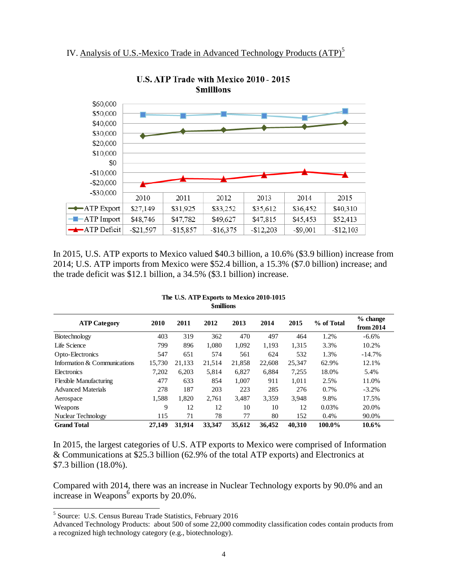



U.S. ATP Trade with Mexico 2010 - 2015 **Smillions** 

In 2015, U.S. ATP exports to Mexico valued \$40.3 billion, a 10.6% (\$3.9 billion) increase from 2014; U.S. ATP imports from Mexico were \$52.4 billion, a 15.3% (\$7.0 billion) increase; and the trade deficit was \$12.1 billion, a 34.5% (\$3.1 billion) increase.

| <b>ATP Category</b>           | 2010   | 2011   | 2012   | 2013   | 2014   | 2015   | % of Total | $%$ change<br>from 2014 |
|-------------------------------|--------|--------|--------|--------|--------|--------|------------|-------------------------|
| Biotechnology                 | 403    | 319    | 362    | 470    | 497    | 464    | 1.2%       | $-6.6%$                 |
| Life Science                  | 799    | 896    | 1.080  | 1.092  | 1,193  | 1,315  | 3.3%       | 10.2%                   |
| Opto-Electronics              | 547    | 651    | 574    | 561    | 624    | 532    | 1.3%       | $-14.7%$                |
| Information & Communications  | 15.730 | 21.133 | 21,514 | 21,858 | 22,608 | 25,347 | 62.9%      | 12.1%                   |
| Electronics                   | 7,202  | 6,203  | 5,814  | 6,827  | 6,884  | 7,255  | 18.0%      | 5.4%                    |
| <b>Flexible Manufacturing</b> | 477    | 633    | 854    | 1,007  | 911    | 1,011  | 2.5%       | 11.0%                   |
| <b>Advanced Materials</b>     | 278    | 187    | 203    | 223    | 285    | 276    | $0.7\%$    | $-3.2%$                 |
| Aerospace                     | 1,588  | 1,820  | 2.761  | 3.487  | 3.359  | 3.948  | 9.8%       | 17.5%                   |
| Weapons                       | 9      | 12     | 12     | 10     | 10     | 12     | 0.03%      | 20.0%                   |
| Nuclear Technology            | 115    | 71     | 78     | 77     | 80     | 152    | 0.4%       | 90.0%                   |
| <b>Grand Total</b>            | 27.149 | 31.914 | 33.347 | 35,612 | 36.452 | 40.310 | 100.0%     | $10.6\%$                |

#### **The U.S. ATP Exports to Mexico 2010-1015 \$millions**

In 2015, the largest categories of U.S. ATP exports to Mexico were comprised of Information & Communications at \$25.3 billion (62.9% of the total ATP exports) and Electronics at \$7.3 billion (18.0%).

Compared with 2014, there was an increase in Nuclear Technology exports by 90.0% and an increase in Weapons $\overset{6}{\circ}$  exports by 20.0%.

 $\overline{a}$ 

<sup>&</sup>lt;sup>5</sup> Source: U.S. Census Bureau Trade Statistics, February 2016

Advanced Technology Products: about 500 of some 22,000 commodity classification codes contain products from a recognized high technology category (e.g., biotechnology).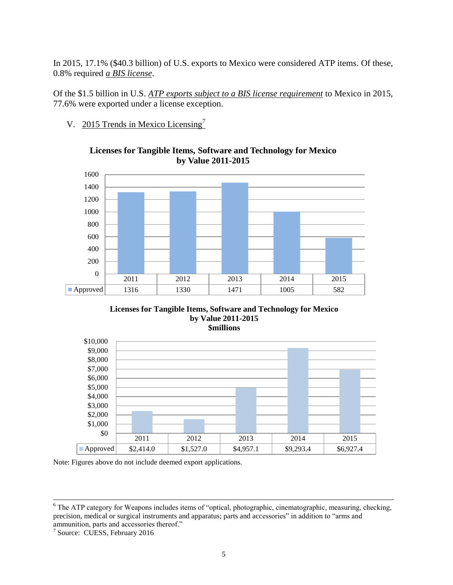In 2015, 17.1% (\$40.3 billion) of U.S. exports to Mexico were considered ATP items. Of these, 0.8% required *a BIS license*.

Of the \$1.5 billion in U.S. *ATP exports subject to a BIS license requirement* to Mexico in 2015, 77.6% were exported under a license exception.

V. 2015 Trends in Mexico Licensing<sup>7</sup>



#### **Licenses for Tangible Items, Software and Technology for Mexico by Value 2011-2015**





Note: Figures above do not include deemed export applications.

 $\overline{a}$ <sup>6</sup> The ATP category for Weapons includes items of "optical, photographic, cinematographic, measuring, checking, precision, medical or surgical instruments and apparatus; parts and accessories" in addition to "arms and

ammunition, parts and accessories thereof." 7 Source: CUESS, February 2016